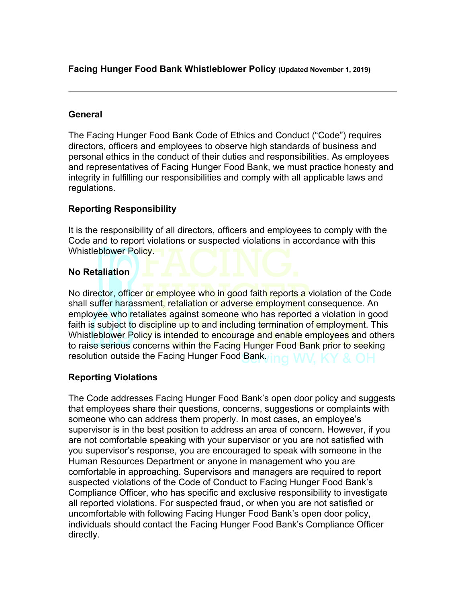**Facing Hunger Food Bank Whistleblower Policy (Updated November 1, 2019)**

### **General**

The Facing Hunger Food Bank Code of Ethics and Conduct ("Code") requires directors, officers and employees to observe high standards of business and personal ethics in the conduct of their duties and responsibilities. As employees and representatives of Facing Hunger Food Bank, we must practice honesty and integrity in fulfilling our responsibilities and comply with all applicable laws and regulations.

# **Reporting Responsibility**

It is the responsibility of all directors, officers and employees to comply with the Code and to report violations or suspected violations in accordance with this Whistleblower Policy.

## **No Retaliation**

No director, officer or employee who in good faith reports a violation of the Code shall suffer harassment, retaliation or adverse employment consequence. An employee who retaliates against someone who has reported a violation in good faith is subject to discipline up to and including termination of employment. This Whistleblower Policy is intended to encourage and enable employees and others to raise serious concerns within the Facing Hunger Food Bank prior to seeking resolution outside the Facing Hunger Food Bank.

# **Reporting Violations**

The Code addresses Facing Hunger Food Bank's open door policy and suggests that employees share their questions, concerns, suggestions or complaints with someone who can address them properly. In most cases, an employee's supervisor is in the best position to address an area of concern. However, if you are not comfortable speaking with your supervisor or you are not satisfied with you supervisor's response, you are encouraged to speak with someone in the Human Resources Department or anyone in management who you are comfortable in approaching. Supervisors and managers are required to report suspected violations of the Code of Conduct to Facing Hunger Food Bank's Compliance Officer, who has specific and exclusive responsibility to investigate all reported violations. For suspected fraud, or when you are not satisfied or uncomfortable with following Facing Hunger Food Bank's open door policy, individuals should contact the Facing Hunger Food Bank's Compliance Officer directly.